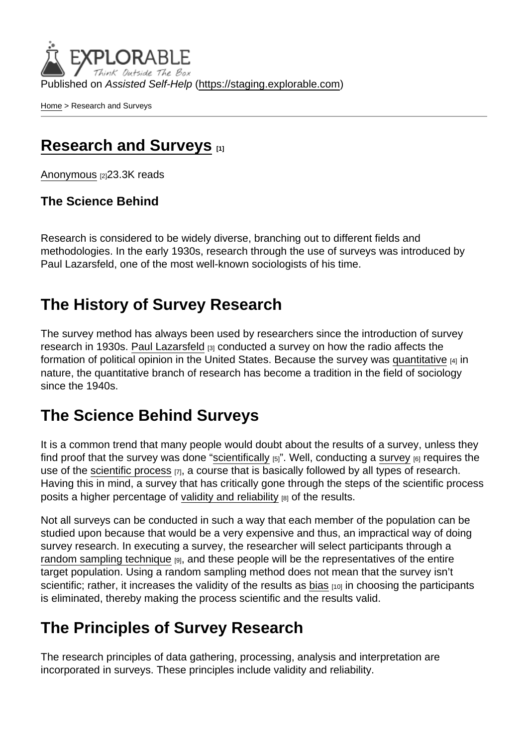Published on Assisted Self-Help [\(https://staging.explorable.com](https://staging.explorable.com))

[Home](https://staging.explorable.com/en) > Research and Surveys

### [Research and Surveys](https://staging.explorable.com/en/research-and-surveys) [1]

[Anonymous](https://staging.explorable.com/en/users/sarah) [2]23.3K reads

The Science Behind

Research is considered to be widely diverse, branching out to different fields and methodologies. In the early 1930s, research through the use of surveys was introduced by Paul Lazarsfeld, one of the most well-known sociologists of his time.

## The History of Survey Research

The survey method has always been used by researchers since the introduction of survey research in 1930s. [Paul Lazarsfeld](http://en.wikipedia.org/wiki/Paul_Lazarsfeld) [3] conducted a survey on how the radio affects the formation of political opinion in the United States. Because the survey was [quantitative](https://staging.explorable.com/quantitative-research-design)  $[4]$  in nature, the quantitative branch of research has become a tradition in the field of sociology since the 1940s.

# The Science Behind Surveys

It is a common trend that many people would doubt about the results of a survey, unless they find proof that the survey was done ["scientifically](https://staging.explorable.com/what-is-research)  $_{[5]}$ ". Well, conducting a [survey](http://writing.colostate.edu/guides/guide.cfm?guideid=68)  $_{[6]}$  requires the use of the [scientific process](https://staging.explorable.com/steps-of-the-scientific-method)  $[7]$ , a course that is basically followed by all types of research. Having this in mind, a survey that has critically gone through the steps of the scientific process posits a higher percentage of [validity and reliability](https://staging.explorable.com/validity-and-reliability) [8] of the results.

Not all surveys can be conducted in such a way that each member of the population can be studied upon because that would be a very expensive and thus, an impractical way of doing survey research. In executing a survey, the researcher will select participants through a [random sampling technique](https://staging.explorable.com/simple-random-sampling)  $\mathfrak{g}_1$ , and these people will be the representatives of the entire target population. Using a random sampling method does not mean that the survey isn't scientific; rather, it increases the validity of the results as [bias](https://staging.explorable.com/research-bias)  $100$  in choosing the participants is eliminated, thereby making the process scientific and the results valid.

# The Principles of Survey Research

The research principles of data gathering, processing, analysis and interpretation are incorporated in surveys. These principles include validity and reliability.